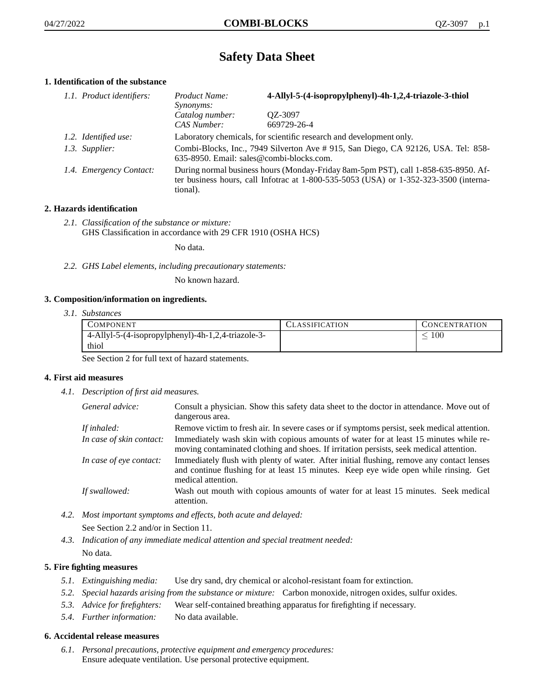# **Safety Data Sheet**

# **1. Identification of the substance**

| 1.1. Product identifiers: | Product Name:<br>Synonyms:                                                                                                                                                                  | 4-Allyl-5-(4-isopropylphenyl)-4h-1,2,4-triazole-3-thiol             |
|---------------------------|---------------------------------------------------------------------------------------------------------------------------------------------------------------------------------------------|---------------------------------------------------------------------|
|                           | Catalog number:<br>CAS Number:                                                                                                                                                              | OZ-3097<br>669729-26-4                                              |
| 1.2. Identified use:      |                                                                                                                                                                                             | Laboratory chemicals, for scientific research and development only. |
| 1.3. Supplier:            | Combi-Blocks, Inc., 7949 Silverton Ave # 915, San Diego, CA 92126, USA. Tel: 858-<br>635-8950. Email: sales@combi-blocks.com.                                                               |                                                                     |
| 1.4. Emergency Contact:   | During normal business hours (Monday-Friday 8am-5pm PST), call 1-858-635-8950. Af-<br>ter business hours, call Infotrac at $1-800-535-5053$ (USA) or $1-352-323-3500$ (interna-<br>tional). |                                                                     |

# **2. Hazards identification**

*2.1. Classification of the substance or mixture:* GHS Classification in accordance with 29 CFR 1910 (OSHA HCS)

No data.

*2.2. GHS Label elements, including precautionary statements:*

No known hazard.

## **3. Composition/information on ingredients.**

*3.1. Substances*

| COMPONENT                                          | <b>ASSIFICATION</b> | CONCENTRATION |
|----------------------------------------------------|---------------------|---------------|
| 4-Allyl-5-(4-isopropylphenyl)-4h-1,2,4-triazole-3- |                     | .00           |
| thiol                                              |                     |               |

See Section 2 for full text of hazard statements.

## **4. First aid measures**

*4.1. Description of first aid measures.*

| General advice:          | Consult a physician. Show this safety data sheet to the doctor in attendance. Move out of<br>dangerous area.                                                                                            |
|--------------------------|---------------------------------------------------------------------------------------------------------------------------------------------------------------------------------------------------------|
| If inhaled:              | Remove victim to fresh air. In severe cases or if symptoms persist, seek medical attention.                                                                                                             |
| In case of skin contact: | Immediately wash skin with copious amounts of water for at least 15 minutes while re-<br>moving contaminated clothing and shoes. If irritation persists, seek medical attention.                        |
| In case of eye contact:  | Immediately flush with plenty of water. After initial flushing, remove any contact lenses<br>and continue flushing for at least 15 minutes. Keep eye wide open while rinsing. Get<br>medical attention. |
| If swallowed:            | Wash out mouth with copious amounts of water for at least 15 minutes. Seek medical<br>attention.                                                                                                        |

*4.2. Most important symptoms and effects, both acute and delayed:*

See Section 2.2 and/or in Section 11.

*4.3. Indication of any immediate medical attention and special treatment needed:* No data.

# **5. Fire fighting measures**

- *5.1. Extinguishing media:* Use dry sand, dry chemical or alcohol-resistant foam for extinction.
- *5.2. Special hazards arising from the substance or mixture:* Carbon monoxide, nitrogen oxides, sulfur oxides.
- *5.3. Advice for firefighters:* Wear self-contained breathing apparatus for firefighting if necessary.
- *5.4. Further information:* No data available.

# **6. Accidental release measures**

*6.1. Personal precautions, protective equipment and emergency procedures:* Ensure adequate ventilation. Use personal protective equipment.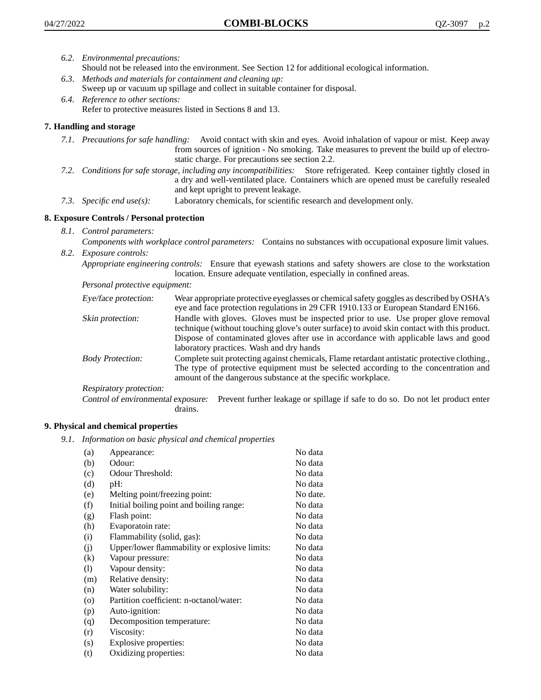- *6.2. Environmental precautions:*
	- Should not be released into the environment. See Section 12 for additional ecological information.
- *6.3. Methods and materials for containment and cleaning up:* Sweep up or vacuum up spillage and collect in suitable container for disposal.
- *6.4. Reference to other sections:* Refer to protective measures listed in Sections 8 and 13.

# **7. Handling and storage**

- *7.1. Precautions for safe handling:* Avoid contact with skin and eyes. Avoid inhalation of vapour or mist. Keep away from sources of ignition - No smoking. Take measures to prevent the build up of electrostatic charge. For precautions see section 2.2.
- *7.2. Conditions for safe storage, including any incompatibilities:* Store refrigerated. Keep container tightly closed in a dry and well-ventilated place. Containers which are opened must be carefully resealed and kept upright to prevent leakage.
- *7.3. Specific end use(s):* Laboratory chemicals, for scientific research and development only.

# **8. Exposure Controls / Personal protection**

*8.1. Control parameters:*

*Components with workplace control parameters:* Contains no substances with occupational exposure limit values. *8.2. Exposure controls:*

*Appropriate engineering controls:* Ensure that eyewash stations and safety showers are close to the workstation location. Ensure adequate ventilation, especially in confined areas.

*Personal protective equipment:*

| Eye/face protection:    | Wear appropriate protective eyeglasses or chemical safety goggles as described by OSHA's<br>eye and face protection regulations in 29 CFR 1910.133 or European Standard EN166.                                                                                                                                         |
|-------------------------|------------------------------------------------------------------------------------------------------------------------------------------------------------------------------------------------------------------------------------------------------------------------------------------------------------------------|
| Skin protection:        | Handle with gloves. Gloves must be inspected prior to use. Use proper glove removal<br>technique (without touching glove's outer surface) to avoid skin contact with this product.<br>Dispose of contaminated gloves after use in accordance with applicable laws and good<br>laboratory practices. Wash and dry hands |
| <b>Body Protection:</b> | Complete suit protecting against chemicals, Flame retardant antistatic protective clothing.,<br>The type of protective equipment must be selected according to the concentration and<br>amount of the dangerous substance at the specific workplace.                                                                   |
| Respiratory protection: |                                                                                                                                                                                                                                                                                                                        |

Control of environmental exposure: Prevent further leakage or spillage if safe to do so. Do not let product enter drains.

## **9. Physical and chemical properties**

*9.1. Information on basic physical and chemical properties*

| (a)                          | Appearance:                                   | No data  |
|------------------------------|-----------------------------------------------|----------|
| (b)                          | Odour:                                        | No data  |
| (c)                          | Odour Threshold:                              | No data  |
| (d)                          | pH:                                           | No data  |
| (e)                          | Melting point/freezing point:                 | No date. |
| (f)                          | Initial boiling point and boiling range:      | No data  |
| (g)                          | Flash point:                                  | No data  |
| (h)                          | Evaporatoin rate:                             | No data  |
| (i)                          | Flammability (solid, gas):                    | No data  |
| (j)                          | Upper/lower flammability or explosive limits: | No data  |
| (k)                          | Vapour pressure:                              | No data  |
| $\left( \frac{1}{2} \right)$ | Vapour density:                               | No data  |
| (m)                          | Relative density:                             | No data  |
| (n)                          | Water solubility:                             | No data  |
| $\circ$                      | Partition coefficient: n-octanol/water:       | No data  |
| (p)                          | Auto-ignition:                                | No data  |
| (q)                          | Decomposition temperature:                    | No data  |
| (r)                          | Viscosity:                                    | No data  |
| (s)                          | Explosive properties:                         | No data  |
| (t)                          | Oxidizing properties:                         | No data  |